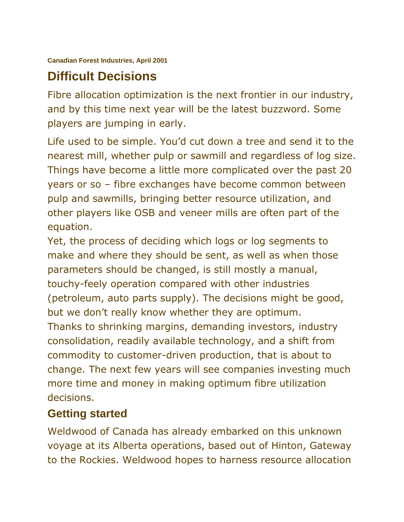# **Difficult Decisions**

Fibre allocation optimization is the next frontier in our industry, and by this time next year will be the latest buzzword. Some players are jumping in early.

Life used to be simple. You'd cut down a tree and send it to the nearest mill, whether pulp or sawmill and regardless of log size. Things have become a little more complicated over the past 20 years or so – fibre exchanges have become common between pulp and sawmills, bringing better resource utilization, and other players like OSB and veneer mills are often part of the equation.

Yet, the process of deciding which logs or log segments to make and where they should be sent, as well as when those parameters should be changed, is still mostly a manual, touchy-feely operation compared with other industries (petroleum, auto parts supply). The decisions might be good, but we don't really know whether they are optimum. Thanks to shrinking margins, demanding investors, industry consolidation, readily available technology, and a shift from commodity to customer-driven production, that is about to change. The next few years will see companies investing much more time and money in making optimum fibre utilization decisions.

## **Getting started**

Weldwood of Canada has already embarked on this unknown voyage at its Alberta operations, based out of Hinton, Gateway to the Rockies. Weldwood hopes to harness resource allocation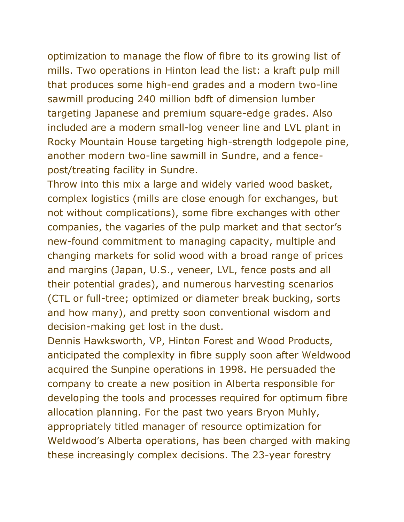optimization to manage the flow of fibre to its growing list of mills. Two operations in Hinton lead the list: a kraft pulp mill that produces some high-end grades and a modern two-line sawmill producing 240 million bdft of dimension lumber targeting Japanese and premium square-edge grades. Also included are a modern small-log veneer line and LVL plant in Rocky Mountain House targeting high-strength lodgepole pine, another modern two-line sawmill in Sundre, and a fencepost/treating facility in Sundre.

Throw into this mix a large and widely varied wood basket, complex logistics (mills are close enough for exchanges, but not without complications), some fibre exchanges with other companies, the vagaries of the pulp market and that sector's new-found commitment to managing capacity, multiple and changing markets for solid wood with a broad range of prices and margins (Japan, U.S., veneer, LVL, fence posts and all their potential grades), and numerous harvesting scenarios (CTL or full-tree; optimized or diameter break bucking, sorts and how many), and pretty soon conventional wisdom and decision-making get lost in the dust.

Dennis Hawksworth, VP, Hinton Forest and Wood Products, anticipated the complexity in fibre supply soon after Weldwood acquired the Sunpine operations in 1998. He persuaded the company to create a new position in Alberta responsible for developing the tools and processes required for optimum fibre allocation planning. For the past two years Bryon Muhly, appropriately titled manager of resource optimization for Weldwood's Alberta operations, has been charged with making these increasingly complex decisions. The 23-year forestry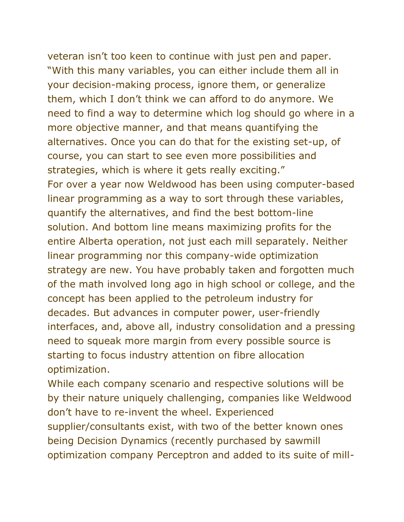veteran isn't too keen to continue with just pen and paper. "With this many variables, you can either include them all in your decision-making process, ignore them, or generalize them, which I don't think we can afford to do anymore. We need to find a way to determine which log should go where in a more objective manner, and that means quantifying the alternatives. Once you can do that for the existing set-up, of course, you can start to see even more possibilities and strategies, which is where it gets really exciting." For over a year now Weldwood has been using computer-based linear programming as a way to sort through these variables, quantify the alternatives, and find the best bottom-line solution. And bottom line means maximizing profits for the entire Alberta operation, not just each mill separately. Neither linear programming nor this company-wide optimization strategy are new. You have probably taken and forgotten much of the math involved long ago in high school or college, and the concept has been applied to the petroleum industry for decades. But advances in computer power, user-friendly interfaces, and, above all, industry consolidation and a pressing need to squeak more margin from every possible source is starting to focus industry attention on fibre allocation optimization.

While each company scenario and respective solutions will be by their nature uniquely challenging, companies like Weldwood don't have to re-invent the wheel. Experienced supplier/consultants exist, with two of the better known ones being Decision Dynamics (recently purchased by sawmill optimization company Perceptron and added to its suite of mill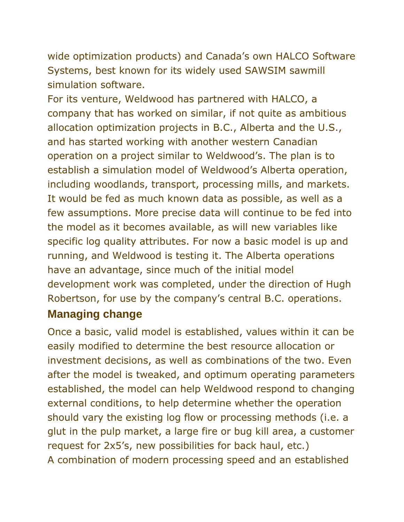wide optimization products) and Canada's own HALCO Software Systems, best known for its widely used SAWSIM sawmill simulation software.

For its venture, Weldwood has partnered with HALCO, a company that has worked on similar, if not quite as ambitious allocation optimization projects in B.C., Alberta and the U.S., and has started working with another western Canadian operation on a project similar to Weldwood's. The plan is to establish a simulation model of Weldwood's Alberta operation, including woodlands, transport, processing mills, and markets. It would be fed as much known data as possible, as well as a few assumptions. More precise data will continue to be fed into the model as it becomes available, as will new variables like specific log quality attributes. For now a basic model is up and running, and Weldwood is testing it. The Alberta operations have an advantage, since much of the initial model development work was completed, under the direction of Hugh Robertson, for use by the company's central B.C. operations.

## **Managing change**

Once a basic, valid model is established, values within it can be easily modified to determine the best resource allocation or investment decisions, as well as combinations of the two. Even after the model is tweaked, and optimum operating parameters established, the model can help Weldwood respond to changing external conditions, to help determine whether the operation should vary the existing log flow or processing methods (i.e. a glut in the pulp market, a large fire or bug kill area, a customer request for 2x5's, new possibilities for back haul, etc.) A combination of modern processing speed and an established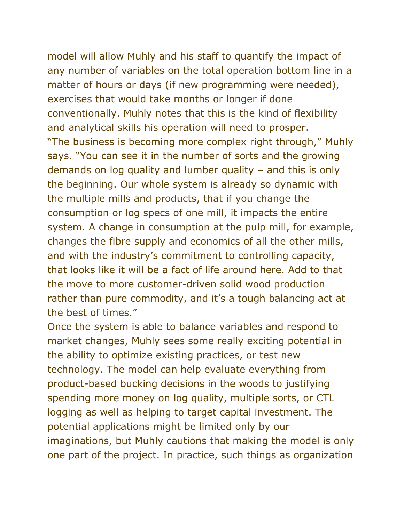model will allow Muhly and his staff to quantify the impact of any number of variables on the total operation bottom line in a matter of hours or days (if new programming were needed), exercises that would take months or longer if done conventionally. Muhly notes that this is the kind of flexibility and analytical skills his operation will need to prosper. "The business is becoming more complex right through," Muhly says. "You can see it in the number of sorts and the growing demands on log quality and lumber quality – and this is only the beginning. Our whole system is already so dynamic with the multiple mills and products, that if you change the consumption or log specs of one mill, it impacts the entire system. A change in consumption at the pulp mill, for example, changes the fibre supply and economics of all the other mills, and with the industry's commitment to controlling capacity, that looks like it will be a fact of life around here. Add to that the move to more customer-driven solid wood production rather than pure commodity, and it's a tough balancing act at the best of times."

Once the system is able to balance variables and respond to market changes, Muhly sees some really exciting potential in the ability to optimize existing practices, or test new technology. The model can help evaluate everything from product-based bucking decisions in the woods to justifying spending more money on log quality, multiple sorts, or CTL logging as well as helping to target capital investment. The potential applications might be limited only by our imaginations, but Muhly cautions that making the model is only one part of the project. In practice, such things as organization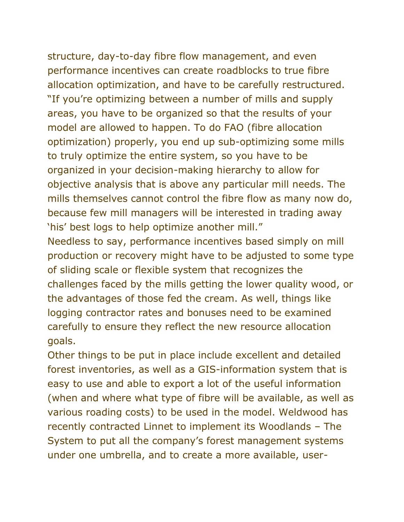structure, day-to-day fibre flow management, and even performance incentives can create roadblocks to true fibre allocation optimization, and have to be carefully restructured. "If you're optimizing between a number of mills and supply areas, you have to be organized so that the results of your model are allowed to happen. To do FAO (fibre allocation optimization) properly, you end up sub-optimizing some mills to truly optimize the entire system, so you have to be organized in your decision-making hierarchy to allow for objective analysis that is above any particular mill needs. The mills themselves cannot control the fibre flow as many now do, because few mill managers will be interested in trading away 'his' best logs to help optimize another mill."

Needless to say, performance incentives based simply on mill production or recovery might have to be adjusted to some type of sliding scale or flexible system that recognizes the challenges faced by the mills getting the lower quality wood, or the advantages of those fed the cream. As well, things like logging contractor rates and bonuses need to be examined carefully to ensure they reflect the new resource allocation goals.

Other things to be put in place include excellent and detailed forest inventories, as well as a GIS-information system that is easy to use and able to export a lot of the useful information (when and where what type of fibre will be available, as well as various roading costs) to be used in the model. Weldwood has recently contracted Linnet to implement its Woodlands – The System to put all the company's forest management systems under one umbrella, and to create a more available, user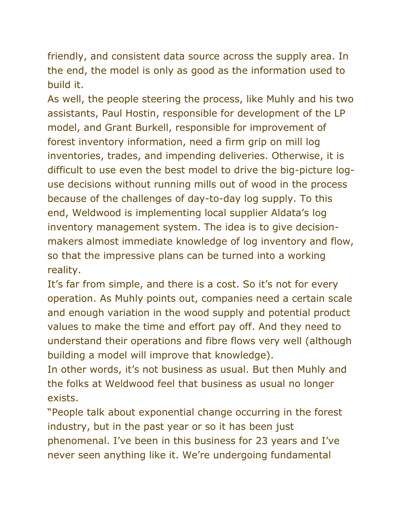friendly, and consistent data source across the supply area. In the end, the model is only as good as the information used to build it.

As well, the people steering the process, like Muhly and his two assistants, Paul Hostin, responsible for development of the LP model, and Grant Burkell, responsible for improvement of forest inventory information, need a firm grip on mill log inventories, trades, and impending deliveries. Otherwise, it is difficult to use even the best model to drive the big-picture loguse decisions without running mills out of wood in the process because of the challenges of day-to-day log supply. To this end, Weldwood is implementing local supplier Aldata's log inventory management system. The idea is to give decisionmakers almost immediate knowledge of log inventory and flow, so that the impressive plans can be turned into a working reality.

It's far from simple, and there is a cost. So it's not for every operation. As Muhly points out, companies need a certain scale and enough variation in the wood supply and potential product values to make the time and effort pay off. And they need to understand their operations and fibre flows very well (although building a model will improve that knowledge).

In other words, it's not business as usual. But then Muhly and the folks at Weldwood feel that business as usual no longer exists.

"People talk about exponential change occurring in the forest industry, but in the past year or so it has been just phenomenal. I've been in this business for 23 years and I've never seen anything like it. We're undergoing fundamental